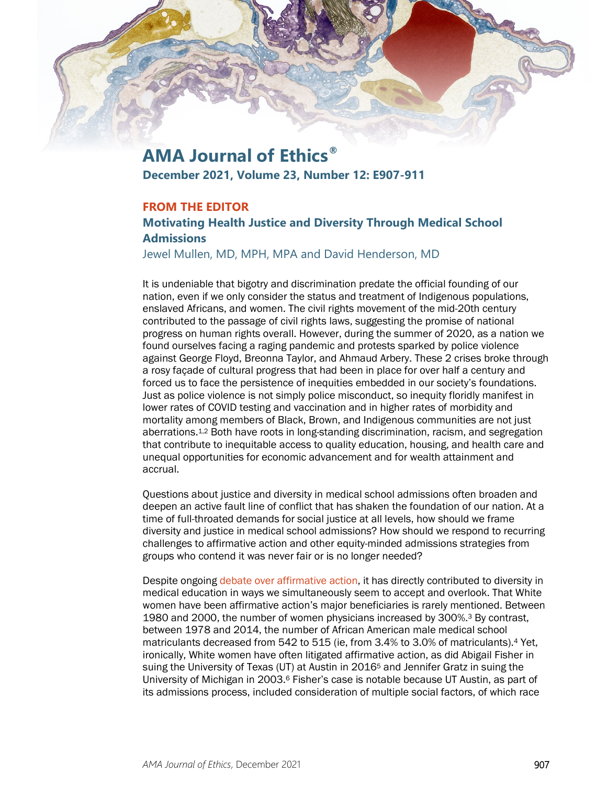

# **AMA Journal of Ethics®**

**December 2021, Volume 23, Number 12: E907-911**

## **FROM THE EDITOR**

# **Motivating Health Justice and Diversity Through Medical School Admissions**

Jewel Mullen, MD, MPH, MPA and David Henderson, MD

It is undeniable that bigotry and discrimination predate the official founding of our nation, even if we only consider the status and treatment of Indigenous populations, enslaved Africans, and women. The civil rights movement of the mid-20th century contributed to the passage of civil rights laws, suggesting the promise of national progress on human rights overall. However, during the summer of 2020, as a nation we found ourselves facing a raging pandemic and protests sparked by police violence against George Floyd, Breonna Taylor, and Ahmaud Arbery. These 2 crises broke through a rosy façade of cultural progress that had been in place for over half a century and forced us to face the persistence of inequities embedded in our society's foundations. Just as police violence is not simply police misconduct, so inequity floridly manifest in lower rates of COVID testing and vaccination and in higher rates of morbidity and mortality among members of Black, Brown, and Indigenous communities are not just aberrations.1,2 Both have roots in long-standing discrimination, racism, and segregation that contribute to inequitable access to quality education, housing, and health care and unequal opportunities for economic advancement and for wealth attainment and accrual.

Questions about justice and diversity in medical school admissions often broaden and deepen an active fault line of conflict that has shaken the foundation of our nation. At a time of full-throated demands for social justice at all levels, how should we frame diversity and justice in medical school admissions? How should we respond to recurring challenges to affirmative action and other equity-minded admissions strategies from groups who contend it was never fair or is no longer needed?

Despite ongoin[g debate over affirmative action,](https://journalofethics.ama-assn.org/article/questioning-rationale-affirmative-action/2014-06) it has directly contributed to diversity in medical education in ways we simultaneously seem to accept and overlook. That White women have been affirmative action's major beneficiaries is rarely mentioned. Between 1980 and 2000, the number of women physicians increased by 300%.3 By contrast, between 1978 and 2014, the number of African American male medical school matriculants decreased from 542 to 515 (ie, from 3.4% to 3.0% of matriculants).4 Yet, ironically, White women have often litigated affirmative action, as did Abigail Fisher in suing the University of Texas (UT) at Austin in 20165 and Jennifer Gratz in suing the University of Michigan in 2003.6 Fisher's case is notable because UT Austin, as part of its admissions process, included consideration of multiple social factors, of which race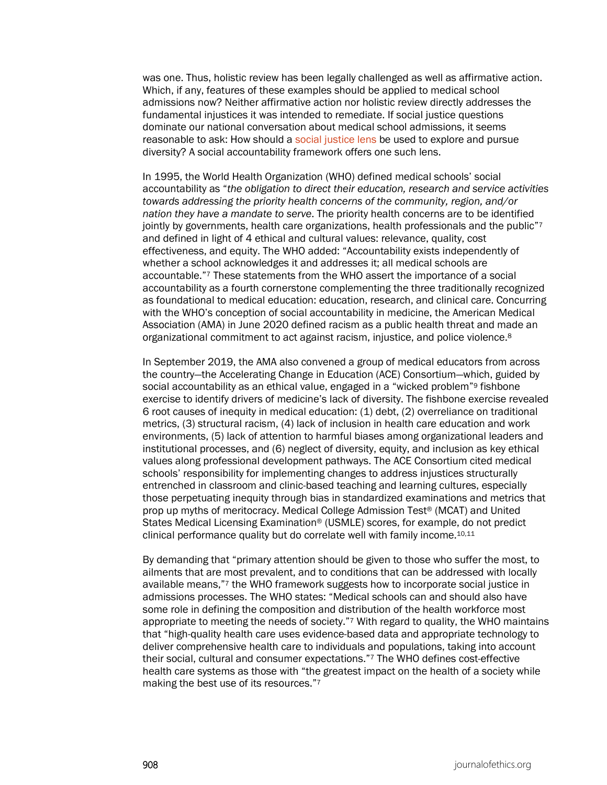was one. Thus, holistic review has been legally challenged as well as affirmative action. Which, if any, features of these examples should be applied to medical school admissions now? Neither affirmative action nor holistic review directly addresses the fundamental injustices it was intended to remediate. If social justice questions dominate our national conversation about medical school admissions, it seems reasonable to ask: How should a [social justice lens](https://journalofethics.ama-assn.org/article/what-does-it-mean-medical-school-admissions-be-socially-accountable/2021-12%C2%A0) be used to explore and pursue diversity? A social accountability framework offers one such lens.

In 1995, the World Health Organization (WHO) defined medical schools' social accountability as "*the obligation to direct their education, research and service activities towards addressing the priority health concerns of the community, region, and/or nation they have a mandate to serve*. The priority health concerns are to be identified jointly by governments, health care organizations, health professionals and the public $\frac{7}{7}$ and defined in light of 4 ethical and cultural values: relevance, quality, cost effectiveness, and equity. The WHO added: "Accountability exists independently of whether a school acknowledges it and addresses it; all medical schools are accountable."7 These statements from the WHO assert the importance of a social accountability as a fourth cornerstone complementing the three traditionally recognized as foundational to medical education: education, research, and clinical care. Concurring with the WHO's conception of social accountability in medicine, the American Medical Association (AMA) in June 2020 defined racism as a public health threat and made an organizational commitment to act against racism, injustice, and police violence.8

In September 2019, the AMA also convened a group of medical educators from across the country—the Accelerating Change in Education (ACE) Consortium—which, guided by social accountability as an ethical value, engaged in a "wicked problem"9 fishbone exercise to identify drivers of medicine's lack of diversity. The fishbone exercise revealed 6 root causes of inequity in medical education: (1) debt, (2) overreliance on traditional metrics, (3) structural racism, (4) lack of inclusion in health care education and work environments, (5) lack of attention to harmful biases among organizational leaders and institutional processes, and (6) neglect of diversity, equity, and inclusion as key ethical values along professional development pathways. The ACE Consortium cited medical schools' responsibility for implementing changes to address injustices structurally entrenched in classroom and clinic-based teaching and learning cultures, especially those perpetuating inequity through bias in standardized examinations and metrics that prop up myths of meritocracy. Medical College Admission Test® (MCAT) and United States Medical Licensing Examination® (USMLE) scores, for example, do not predict clinical performance quality but do correlate well with family income.10,11

By demanding that "primary attention should be given to those who suffer the most, to ailments that are most prevalent, and to conditions that can be addressed with locally available means,"7 the WHO framework suggests how to incorporate social justice in admissions processes. The WHO states: "Medical schools can and should also have some role in defining the composition and distribution of the health workforce most appropriate to meeting the needs of society."7 With regard to quality, the WHO maintains that "high-quality health care uses evidence-based data and appropriate technology to deliver comprehensive health care to individuals and populations, taking into account their social, cultural and consumer expectations."7 The WHO defines cost-effective health care systems as those with "the greatest impact on the health of a society while making the best use of its resources."7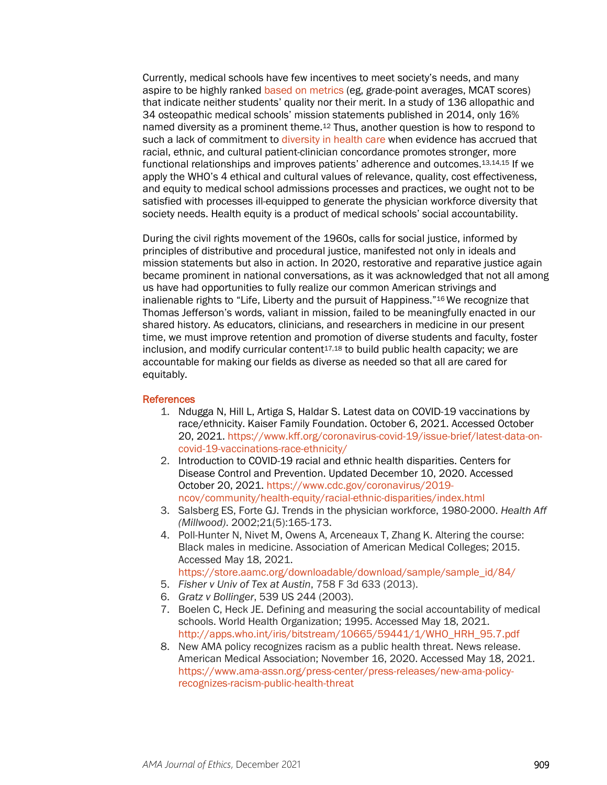Currently, medical schools have few incentives to meet society's needs, and many aspire to be highly ranked [based on metrics](https://journalofethics.ama-assn.org/article/three-things-schools-should-do-make-advancement-assessment-just/2021-12) (eg, grade-point averages, MCAT scores) that indicate neither students' quality nor their merit. In a study of 136 allopathic and 34 osteopathic medical schools' mission statements published in 2014, only 16% named diversity as a prominent theme.12 Thus, another question is how to respond to such a lack of commitment to [diversity in health care](https://journalofethics.ama-assn.org/article/how-should-medical-school-admissions-drive-health-care-workforce-diversity/2021-12) when evidence has accrued that racial, ethnic, and cultural patient-clinician concordance promotes stronger, more functional relationships and improves patients' adherence and outcomes.13,14,15 If we apply the WHO's 4 ethical and cultural values of relevance, quality, cost effectiveness, and equity to medical school admissions processes and practices, we ought not to be satisfied with processes ill-equipped to generate the physician workforce diversity that society needs. Health equity is a product of medical schools' social accountability.

During the civil rights movement of the 1960s, calls for social justice, informed by principles of distributive and procedural justice, manifested not only in ideals and mission statements but also in action. In 2020, restorative and reparative justice again became prominent in national conversations, as it was acknowledged that not all among us have had opportunities to fully realize our common American strivings and inalienable rights to "Life, Liberty and the pursuit of Happiness."16 We recognize that Thomas Jefferson's words, valiant in mission, failed to be meaningfully enacted in our shared history. As educators, clinicians, and researchers in medicine in our present time, we must improve retention and promotion of diverse students and faculty, foster  $inclusion$ , and modify curricular content $17,18$  to build public health capacity; we are accountable for making our fields as diverse as needed so that all are cared for equitably.

#### **References**

- 1. Ndugga N, Hill L, Artiga S, Haldar S. Latest data on COVID-19 vaccinations by race/ethnicity. Kaiser Family Foundation. October 6, 2021. Accessed October 20, 2021[. https://www.kff.org/coronavirus-covid-19/issue-brief/latest-data-on](https://www.kff.org/coronavirus-covid-19/issue-brief/latest-data-on-covid-19-vaccinations-race-ethnicity/)[covid-19-vaccinations-race-ethnicity/](https://www.kff.org/coronavirus-covid-19/issue-brief/latest-data-on-covid-19-vaccinations-race-ethnicity/)
- 2. Introduction to COVID-19 racial and ethnic health disparities. Centers for Disease Control and Prevention. Updated December 10, 2020. Accessed October 20, 2021. [https://www.cdc.gov/coronavirus/2019](https://www.cdc.gov/coronavirus/2019-ncov/community/health-equity/racial-ethnic-disparities/index.html) [ncov/community/health-equity/racial-ethnic-disparities/index.html](https://www.cdc.gov/coronavirus/2019-ncov/community/health-equity/racial-ethnic-disparities/index.html)
- 3. Salsberg ES, Forte GJ. Trends in the physician workforce, 1980-2000. *Health Aff (Millwood)*. 2002;21(5):165-173.
- 4. Poll-Hunter N, Nivet M, Owens A, Arceneaux T, Zhang K. Altering the course: Black males in medicine. Association of American Medical Colleges; 2015. Accessed May 18, 2021. [https://store.aamc.org/downloadable/download/sample/sample\\_id/84/](https://store.aamc.org/downloadable/download/sample/sample_id/84/)
- 5. *Fisher v Univ of Tex at Austin*, 758 F 3d 633 (2013).
- 6. *Gratz v Bollinger*, 539 US 244 (2003).
- 7. Boelen C, Heck JE. Defining and measuring the social accountability of medical schools. World Health Organization; 1995. Accessed May 18, 2021. [http://apps.who.int/iris/bitstream/10665/59441/1/WHO\\_HRH\\_95.7.pdf](http://apps.who.int/iris/bitstream/10665/59441/1/WHO_HRH_95.7.pdf)
- 8. New AMA policy recognizes racism as a public health threat. News release. American Medical Association; November 16, 2020. Accessed May 18, 2021. [https://www.ama-assn.org/press-center/press-releases/new-ama-policy](https://www.ama-assn.org/press-center/press-releases/new-ama-policy-recognizes-racism-public-health-threat)[recognizes-racism-public-health-threat](https://www.ama-assn.org/press-center/press-releases/new-ama-policy-recognizes-racism-public-health-threat)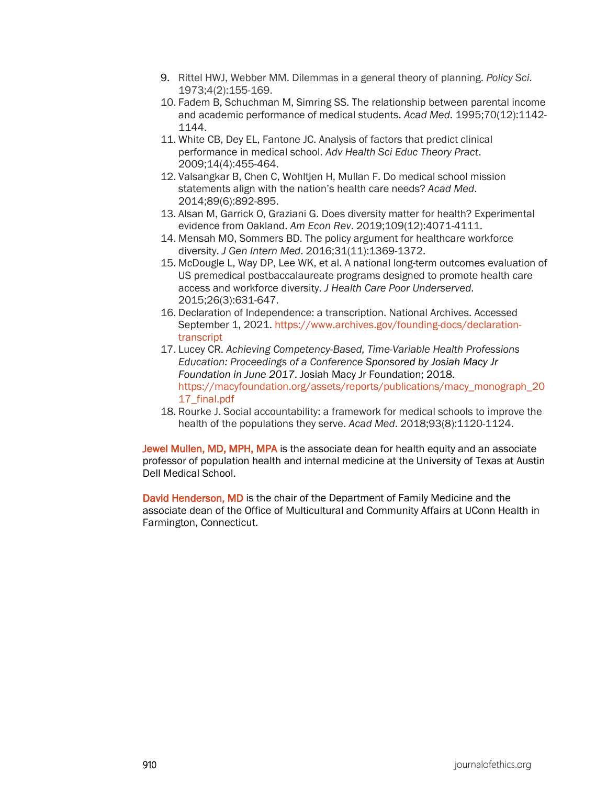- 9. Rittel HWJ, Webber MM. Dilemmas in a general theory of planning. *Policy Sci*. 1973;4(2):155-169.
- 10. Fadem B, Schuchman M, Simring SS. The relationship between parental income and academic performance of medical students. *Acad Med*. 1995;70(12):1142- 1144.
- 11. White CB, Dey EL, Fantone JC. Analysis of factors that predict clinical performance in medical school. *Adv Health Sci Educ Theory Pract*. 2009;14(4):455-464.
- 12. Valsangkar B, Chen C, Wohltjen H, Mullan F. Do medical school mission statements align with the nation's health care needs? *Acad Med*. 2014;89(6):892-895.
- 13. Alsan M, Garrick O, Graziani G. Does diversity matter for health? Experimental evidence from Oakland. *Am Econ Rev*. 2019;109(12):4071-4111.
- 14. Mensah MO, Sommers BD. The policy argument for healthcare workforce diversity. *J Gen Intern Med*. 2016;31(11):1369-1372.
- 15. McDougle L, Way DP, Lee WK, et al. A national long-term outcomes evaluation of US premedical postbaccalaureate programs designed to promote health care access and workforce diversity. *J Health Care Poor Underserved*. 2015;26(3):631-647.
- 16. Declaration of Independence: a transcription. National Archives. Accessed September 1, 2021. [https://www.archives.gov/founding-docs/declaration](https://www.archives.gov/founding-docs/declaration-transcript)[transcript](https://www.archives.gov/founding-docs/declaration-transcript)
- 17. Lucey CR. *Achieving Competency-Based, Time-Variable Health Professions Education: Proceedings of a Conference Sponsored by Josiah Macy Jr Foundation in June 2017*. Josiah Macy Jr Foundation; 2018. [https://macyfoundation.org/assets/reports/publications/macy\\_monograph\\_20](https://macyfoundation.org/assets/reports/publications/macy_monograph_2017_final.pdf) [17\\_final.pdf](https://macyfoundation.org/assets/reports/publications/macy_monograph_2017_final.pdf)
- 18. Rourke J. Social accountability: a framework for medical schools to improve the health of the populations they serve. *Acad Med*. 2018;93(8):1120-1124.

Jewel Mullen, MD, MPH, MPA is the associate dean for health equity and an associate professor of population health and internal medicine at the University of Texas at Austin Dell Medical School.

David Henderson, MD is the chair of the Department of Family Medicine and the associate dean of the Office of Multicultural and Community Affairs at UConn Health in Farmington, Connecticut.